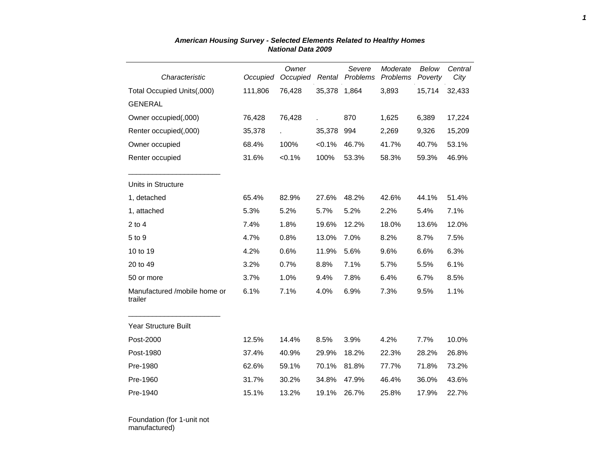| Characteristic                          | Occupied | Owner<br>Occupied | Rental    | Severe<br>Problems | Moderate<br>Problems | <b>Below</b><br>Poverty | Central<br>City |
|-----------------------------------------|----------|-------------------|-----------|--------------------|----------------------|-------------------------|-----------------|
| Total Occupied Units(,000)              | 111,806  | 76,428            | 35,378    | 1,864              | 3,893                | 15,714                  | 32,433          |
| <b>GENERAL</b>                          |          |                   |           |                    |                      |                         |                 |
| Owner occupied(,000)                    | 76,428   | 76,428            |           | 870                | 1,625                | 6,389                   | 17,224          |
| Renter occupied(,000)                   | 35,378   |                   | 35,378    | 994                | 2,269                | 9,326                   | 15,209          |
| Owner occupied                          | 68.4%    | 100%              | $< 0.1\%$ | 46.7%              | 41.7%                | 40.7%                   | 53.1%           |
| Renter occupied                         | 31.6%    | $< 0.1\%$         | 100%      | 53.3%              | 58.3%                | 59.3%                   | 46.9%           |
| Units in Structure                      |          |                   |           |                    |                      |                         |                 |
| 1, detached                             | 65.4%    | 82.9%             | 27.6%     | 48.2%              | 42.6%                | 44.1%                   | 51.4%           |
| 1, attached                             | 5.3%     | 5.2%              | 5.7%      | 5.2%               | 2.2%                 | 5.4%                    | 7.1%            |
| $2$ to 4                                | 7.4%     | 1.8%              | 19.6%     | 12.2%              | 18.0%                | 13.6%                   | 12.0%           |
| 5 to 9                                  | 4.7%     | 0.8%              | 13.0%     | 7.0%               | 8.2%                 | 8.7%                    | 7.5%            |
| 10 to 19                                | 4.2%     | 0.6%              | 11.9%     | 5.6%               | 9.6%                 | 6.6%                    | 6.3%            |
| 20 to 49                                | 3.2%     | 0.7%              | 8.8%      | 7.1%               | 5.7%                 | 5.5%                    | 6.1%            |
| 50 or more                              | 3.7%     | 1.0%              | 9.4%      | 7.8%               | 6.4%                 | 6.7%                    | 8.5%            |
| Manufactured /mobile home or<br>trailer | 6.1%     | 7.1%              | 4.0%      | 6.9%               | 7.3%                 | 9.5%                    | 1.1%            |
| Year Structure Built                    |          |                   |           |                    |                      |                         |                 |
| Post-2000                               | 12.5%    | 14.4%             | 8.5%      | 3.9%               | 4.2%                 | 7.7%                    | 10.0%           |
| Post-1980                               | 37.4%    | 40.9%             | 29.9%     | 18.2%              | 22.3%                | 28.2%                   | 26.8%           |
| Pre-1980                                | 62.6%    | 59.1%             | 70.1%     | 81.8%              | 77.7%                | 71.8%                   | 73.2%           |
| Pre-1960                                | 31.7%    | 30.2%             | 34.8%     | 47.9%              | 46.4%                | 36.0%                   | 43.6%           |
| Pre-1940                                | 15.1%    | 13.2%             | 19.1%     | 26.7%              | 25.8%                | 17.9%                   | 22.7%           |

## *American Housing Survey - Selected Elements Related to Healthy Homes National Data 2009*

Foundation (for 1-unit not manufactured)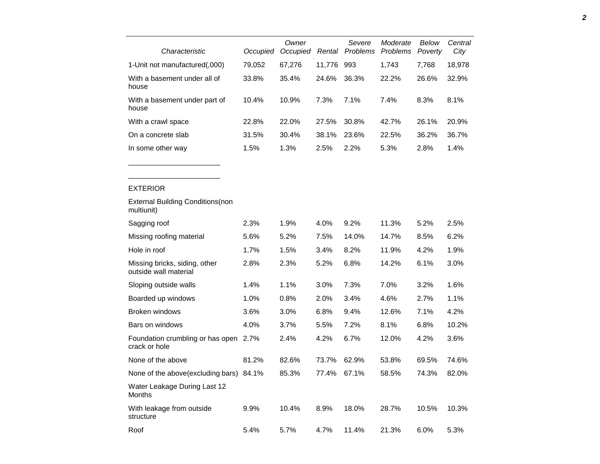| Characteristic                                         | Occupied | Owner<br>Occupied |        | Severe<br>Rental Problems | Moderate<br><b>Problems</b> | Below<br>Poverty | Central<br>City |
|--------------------------------------------------------|----------|-------------------|--------|---------------------------|-----------------------------|------------------|-----------------|
| 1-Unit not manufactured(,000)                          | 79,052   | 67,276            | 11,776 | 993                       | 1,743                       | 7,768            | 18,978          |
| With a basement under all of<br>house                  | 33.8%    | 35.4%             | 24.6%  | 36.3%                     | 22.2%                       | 26.6%            | 32.9%           |
| With a basement under part of<br>house                 | 10.4%    | 10.9%             | 7.3%   | 7.1%                      | 7.4%                        | 8.3%             | 8.1%            |
| With a crawl space                                     | 22.8%    | 22.0%             | 27.5%  | 30.8%                     | 42.7%                       | 26.1%            | 20.9%           |
| On a concrete slab                                     | 31.5%    | 30.4%             | 38.1%  | 23.6%                     | 22.5%                       | 36.2%            | 36.7%           |
| In some other way                                      | 1.5%     | 1.3%              | 2.5%   | 2.2%                      | 5.3%                        | 2.8%             | 1.4%            |
|                                                        |          |                   |        |                           |                             |                  |                 |
| <b>EXTERIOR</b>                                        |          |                   |        |                           |                             |                  |                 |
| <b>External Building Conditions (non</b><br>multiunit) |          |                   |        |                           |                             |                  |                 |
| Sagging roof                                           | 2.3%     | 1.9%              | 4.0%   | 9.2%                      | 11.3%                       | 5.2%             | 2.5%            |
| Missing roofing material                               | 5.6%     | 5.2%              | 7.5%   | 14.0%                     | 14.7%                       | 8.5%             | 6.2%            |
| Hole in roof                                           | 1.7%     | 1.5%              | 3.4%   | 8.2%                      | 11.9%                       | 4.2%             | 1.9%            |
| Missing bricks, siding, other<br>outside wall material | 2.8%     | 2.3%              | 5.2%   | 6.8%                      | 14.2%                       | 6.1%             | 3.0%            |
| Sloping outside walls                                  | 1.4%     | 1.1%              | 3.0%   | 7.3%                      | 7.0%                        | 3.2%             | 1.6%            |
| Boarded up windows                                     | 1.0%     | 0.8%              | 2.0%   | 3.4%                      | 4.6%                        | 2.7%             | 1.1%            |
| Broken windows                                         | 3.6%     | 3.0%              | 6.8%   | 9.4%                      | 12.6%                       | 7.1%             | 4.2%            |
| Bars on windows                                        | 4.0%     | 3.7%              | 5.5%   | 7.2%                      | 8.1%                        | 6.8%             | 10.2%           |
| Foundation crumbling or has open<br>crack or hole      | 2.7%     | 2.4%              | 4.2%   | 6.7%                      | 12.0%                       | 4.2%             | 3.6%            |
| None of the above                                      | 81.2%    | 82.6%             | 73.7%  | 62.9%                     | 53.8%                       | 69.5%            | 74.6%           |
| None of the above(excluding bars) 84.1%                |          | 85.3%             | 77.4%  | 67.1%                     | 58.5%                       | 74.3%            | 82.0%           |
| Water Leakage During Last 12<br>Months                 |          |                   |        |                           |                             |                  |                 |
| With leakage from outside                              | 9.9%     | 10.4%             | 8.9%   | 18.0%                     | 28.7%                       | 10.5%            | 10.3%           |

Roof 5.4% 5.7% 4.7% 11.4% 21.3% 6.0% 5.3%

structure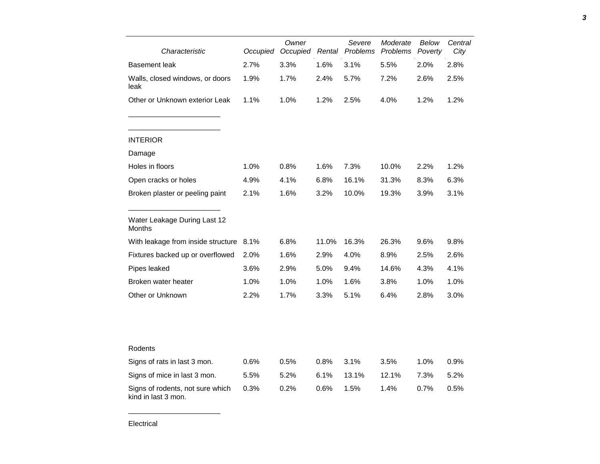| Characteristic                                          | Occupied | Owner<br>Occupied | Rental | Severe<br>Moderate<br>Problems<br>Problems |       | Below<br>Poverty | Central<br>City |
|---------------------------------------------------------|----------|-------------------|--------|--------------------------------------------|-------|------------------|-----------------|
| Basement leak                                           | 2.7%     | 3.3%              | 1.6%   | 3.1%                                       | 5.5%  | 2.0%             | 2.8%            |
| Walls, closed windows, or doors<br>leak                 | 1.9%     | 1.7%              | 2.4%   | 5.7%                                       | 7.2%  | 2.6%             | 2.5%            |
| Other or Unknown exterior Leak                          | 1.1%     | 1.0%              | 1.2%   | 2.5%                                       | 4.0%  | 1.2%             | 1.2%            |
| <b>INTERIOR</b>                                         |          |                   |        |                                            |       |                  |                 |
| Damage                                                  |          |                   |        |                                            |       |                  |                 |
| Holes in floors                                         | 1.0%     | 0.8%              | 1.6%   | 7.3%                                       | 10.0% | 2.2%             | 1.2%            |
| Open cracks or holes                                    | 4.9%     | 4.1%              | 6.8%   | 16.1%                                      | 31.3% | 8.3%             | 6.3%            |
| Broken plaster or peeling paint                         | 2.1%     | 1.6%              | 3.2%   | 10.0%                                      | 19.3% | 3.9%             | 3.1%            |
| Water Leakage During Last 12<br>Months                  |          |                   |        |                                            |       |                  |                 |
| With leakage from inside structure                      | 8.1%     | 6.8%              | 11.0%  | 16.3%                                      | 26.3% | 9.6%             | 9.8%            |
| Fixtures backed up or overflowed                        | 2.0%     | 1.6%              | 2.9%   | 4.0%                                       | 8.9%  | 2.5%             | 2.6%            |
| Pipes leaked                                            | 3.6%     | 2.9%              | 5.0%   | 9.4%                                       | 14.6% | 4.3%             | 4.1%            |
| Broken water heater                                     | 1.0%     | 1.0%              | 1.0%   | 1.6%                                       | 3.8%  | 1.0%             | 1.0%            |
| Other or Unknown                                        | 2.2%     | 1.7%              | 3.3%   | 5.1%                                       | 6.4%  | 2.8%             | 3.0%            |
|                                                         |          |                   |        |                                            |       |                  |                 |
| Rodents                                                 |          |                   |        |                                            |       |                  |                 |
| Signs of rats in last 3 mon.                            | 0.6%     | 0.5%              | 0.8%   | 3.1%                                       | 3.5%  | 1.0%             | 0.9%            |
| Signs of mice in last 3 mon.                            | 5.5%     | 5.2%              | 6.1%   | 13.1%                                      | 12.1% | 7.3%             | 5.2%            |
| Signs of rodents, not sure which<br>kind in last 3 mon. | 0.3%     | 0.2%              | 0.6%   | 1.5%                                       | 1.4%  | 0.7%             | 0.5%            |

*3*

\_\_\_\_\_\_\_\_\_\_\_\_\_\_\_\_\_\_\_\_\_\_\_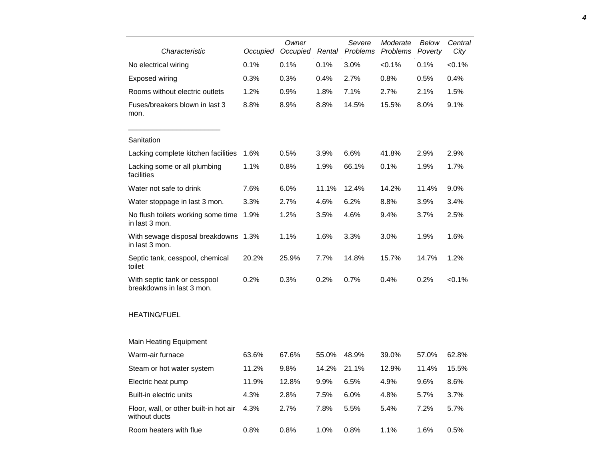| Characteristic                                            | Occupied | Owner<br>Occupied | Rental | Severe<br>Problems | Moderate<br>Problems | Below<br>Poverty | Central<br>City |
|-----------------------------------------------------------|----------|-------------------|--------|--------------------|----------------------|------------------|-----------------|
| No electrical wiring                                      | 0.1%     | 0.1%              | 0.1%   | 3.0%               | < 0.1%               | 0.1%             | $< 0.1\%$       |
| <b>Exposed wiring</b>                                     | 0.3%     | 0.3%              | 0.4%   | 2.7%               | 0.8%                 | 0.5%             | 0.4%            |
| Rooms without electric outlets                            | 1.2%     | 0.9%              | 1.8%   | 7.1%               | 2.7%                 | 2.1%             | 1.5%            |
| Fuses/breakers blown in last 3<br>mon.                    | 8.8%     | 8.9%              | 8.8%   | 14.5%              | 15.5%                | 8.0%             | 9.1%            |
| Sanitation                                                |          |                   |        |                    |                      |                  |                 |
| Lacking complete kitchen facilities                       | 1.6%     | 0.5%              | 3.9%   | 6.6%               | 41.8%                | 2.9%             | 2.9%            |
| Lacking some or all plumbing<br>facilities                | 1.1%     | 0.8%              | 1.9%   | 66.1%              | 0.1%                 | 1.9%             | 1.7%            |
| Water not safe to drink                                   | 7.6%     | 6.0%              | 11.1%  | 12.4%              | 14.2%                | 11.4%            | 9.0%            |
| Water stoppage in last 3 mon.                             | 3.3%     | 2.7%              | 4.6%   | 6.2%               | 8.8%                 | 3.9%             | 3.4%            |
| No flush toilets working some time<br>in last 3 mon.      | 1.9%     | 1.2%              | 3.5%   | 4.6%               | 9.4%                 | 3.7%             | 2.5%            |
| With sewage disposal breakdowns 1.3%<br>in last 3 mon.    |          | 1.1%              | 1.6%   | 3.3%               | 3.0%                 | 1.9%             | 1.6%            |
| Septic tank, cesspool, chemical<br>toilet                 | 20.2%    | 25.9%             | 7.7%   | 14.8%              | 15.7%                | 14.7%            | 1.2%            |
| With septic tank or cesspool<br>breakdowns in last 3 mon. | 0.2%     | 0.3%              | 0.2%   | 0.7%               | 0.4%                 | 0.2%             | $< 0.1\%$       |
| <b>HEATING/FUEL</b>                                       |          |                   |        |                    |                      |                  |                 |
| <b>Main Heating Equipment</b>                             |          |                   |        |                    |                      |                  |                 |
| Warm-air furnace                                          | 63.6%    | 67.6%             | 55.0%  | 48.9%              | 39.0%                | 57.0%            | 62.8%           |
| Steam or hot water system                                 | 11.2%    | 9.8%              | 14.2%  | 21.1%              | 12.9%                | 11.4%            | 15.5%           |
| Electric heat pump                                        | 11.9%    | 12.8%             | 9.9%   | 6.5%               | 4.9%                 | 9.6%             | 8.6%            |
| Built-in electric units                                   | 4.3%     | 2.8%              | 7.5%   | 6.0%               | 4.8%                 | 5.7%             | 3.7%            |
| Floor, wall, or other built-in hot air<br>without ducts   | 4.3%     | 2.7%              | 7.8%   | 5.5%               | 5.4%                 | 7.2%             | 5.7%            |
| Room heaters with flue                                    | 0.8%     | 0.8%              | 1.0%   | 0.8%               | 1.1%                 | 1.6%             | 0.5%            |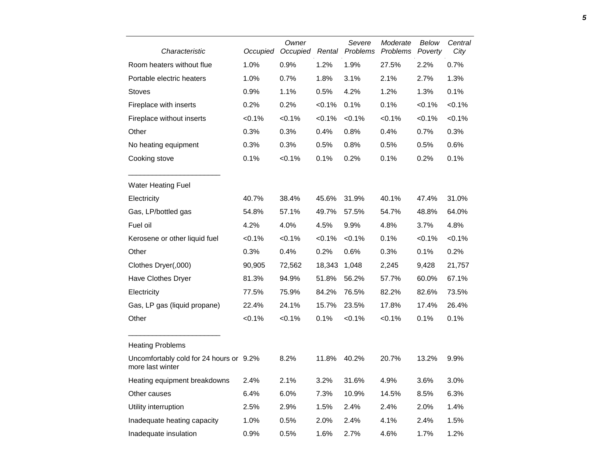| Characteristic                                              | Occupied | Owner<br>Occupied | Rental    | Severe<br>Problems | Moderate<br>Problems | Below<br>Poverty | Central<br>City |
|-------------------------------------------------------------|----------|-------------------|-----------|--------------------|----------------------|------------------|-----------------|
| Room heaters without flue                                   | 1.0%     | 0.9%              | 1.2%      | 1.9%               | 27.5%                | 2.2%             | 0.7%            |
| Portable electric heaters                                   | 1.0%     | 0.7%              | 1.8%      | 3.1%               | 2.1%                 | 2.7%             | 1.3%            |
| <b>Stoves</b>                                               | 0.9%     | 1.1%              | 0.5%      | 4.2%               | 1.2%                 | 1.3%             | 0.1%            |
| Fireplace with inserts                                      | 0.2%     | 0.2%              | < 0.1%    | 0.1%               | 0.1%                 | < 0.1%           | < 0.1%          |
| Fireplace without inserts                                   | < 0.1%   | < 0.1%            | < 0.1%    | $< 0.1\%$          | < 0.1%               | < 0.1%           | < 0.1%          |
| Other                                                       | 0.3%     | 0.3%              | 0.4%      | 0.8%               | 0.4%                 | 0.7%             | 0.3%            |
| No heating equipment                                        | 0.3%     | 0.3%              | 0.5%      | 0.8%               | 0.5%                 | 0.5%             | 0.6%            |
| Cooking stove                                               | 0.1%     | < 0.1%            | 0.1%      | 0.2%               | 0.1%                 | 0.2%             | 0.1%            |
| <b>Water Heating Fuel</b>                                   |          |                   |           |                    |                      |                  |                 |
| Electricity                                                 | 40.7%    | 38.4%             | 45.6%     | 31.9%              | 40.1%                | 47.4%            | 31.0%           |
| Gas, LP/bottled gas                                         | 54.8%    | 57.1%             | 49.7%     | 57.5%              | 54.7%                | 48.8%            | 64.0%           |
| Fuel oil                                                    | 4.2%     | 4.0%              | 4.5%      | 9.9%               | 4.8%                 | 3.7%             | 4.8%            |
| Kerosene or other liquid fuel                               | < 0.1%   | < 0.1%            | $< 0.1\%$ | < 0.1%             | 0.1%                 | $< 0.1\%$        | $< 0.1\%$       |
| Other                                                       | 0.3%     | 0.4%              | 0.2%      | 0.6%               | 0.3%                 | 0.1%             | 0.2%            |
| Clothes Dryer(,000)                                         | 90,905   | 72,562            | 18,343    | 1,048              | 2,245                | 9,428            | 21,757          |
| Have Clothes Dryer                                          | 81.3%    | 94.9%             | 51.8%     | 56.2%              | 57.7%                | 60.0%            | 67.1%           |
| Electricity                                                 | 77.5%    | 75.9%             | 84.2%     | 76.5%              | 82.2%                | 82.6%            | 73.5%           |
| Gas, LP gas (liquid propane)                                | 22.4%    | 24.1%             | 15.7%     | 23.5%              | 17.8%                | 17.4%            | 26.4%           |
| Other                                                       | < 0.1%   | < 0.1%            | 0.1%      | < 0.1%             | < 0.1%               | 0.1%             | 0.1%            |
| <b>Heating Problems</b>                                     |          |                   |           |                    |                      |                  |                 |
| Uncomfortably cold for 24 hours or 9.2%<br>more last winter |          | 8.2%              | 11.8%     | 40.2%              | 20.7%                | 13.2%            | 9.9%            |
| Heating equipment breakdowns                                | 2.4%     | 2.1%              | 3.2%      | 31.6%              | 4.9%                 | 3.6%             | 3.0%            |
| Other causes                                                | 6.4%     | 6.0%              | 7.3%      | 10.9%              | 14.5%                | 8.5%             | 6.3%            |
| Utility interruption                                        | 2.5%     | 2.9%              | 1.5%      | 2.4%               | 2.4%                 | 2.0%             | 1.4%            |
| Inadequate heating capacity                                 | 1.0%     | 0.5%              | 2.0%      | 2.4%               | 4.1%                 | 2.4%             | 1.5%            |
| Inadequate insulation                                       | 0.9%     | 0.5%              | 1.6%      | 2.7%               | 4.6%                 | 1.7%             | 1.2%            |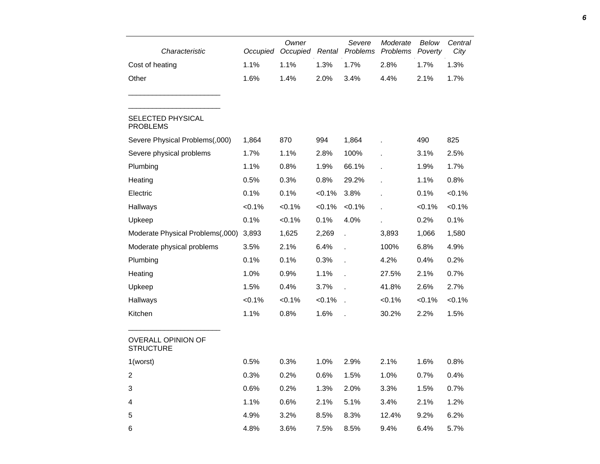| Characteristic                              | Occupied  | Owner<br>Occupied | Rental    | Severe       | Moderate<br>Problems Problems | Below<br>Poverty | Central<br>City |
|---------------------------------------------|-----------|-------------------|-----------|--------------|-------------------------------|------------------|-----------------|
| Cost of heating                             | 1.1%      | 1.1%              | 1.3%      | 1.7%         | 2.8%                          | 1.7%             | 1.3%            |
| Other                                       | 1.6%      | 1.4%              | 2.0%      | 3.4%         | 4.4%                          | 2.1%             | 1.7%            |
| <b>SELECTED PHYSICAL</b><br><b>PROBLEMS</b> |           |                   |           |              |                               |                  |                 |
| Severe Physical Problems(,000)              | 1,864     | 870               | 994       | 1,864        |                               | 490              | 825             |
| Severe physical problems                    | 1.7%      | 1.1%              | 2.8%      | 100%         |                               | 3.1%             | 2.5%            |
| Plumbing                                    | 1.1%      | 0.8%              | 1.9%      | 66.1%        |                               | 1.9%             | 1.7%            |
| Heating                                     | 0.5%      | 0.3%              | 0.8%      | 29.2%        |                               | 1.1%             | 0.8%            |
| Electric                                    | 0.1%      | 0.1%              | $< 0.1\%$ | 3.8%         |                               | 0.1%             | $< 0.1\%$       |
| Hallways                                    | < 0.1%    | $< 0.1\%$         | $< 0.1\%$ | $< 0.1\%$    | ÷.                            | $< 0.1\%$        | $< 0.1\%$       |
| Upkeep                                      | 0.1%      | $< 0.1\%$         | 0.1%      | 4.0%         |                               | 0.2%             | 0.1%            |
| Moderate Physical Problems(,000)            | 3,893     | 1,625             | 2,269     | l.           | 3,893                         | 1,066            | 1,580           |
| Moderate physical problems                  | 3.5%      | 2.1%              | 6.4%      | l.           | 100%                          | 6.8%             | 4.9%            |
| Plumbing                                    | 0.1%      | 0.1%              | 0.3%      | l.           | 4.2%                          | 0.4%             | 0.2%            |
| Heating                                     | 1.0%      | 0.9%              | 1.1%      |              | 27.5%                         | 2.1%             | 0.7%            |
| Upkeep                                      | 1.5%      | 0.4%              | 3.7%      |              | 41.8%                         | 2.6%             | 2.7%            |
| Hallways                                    | $< 0.1\%$ | $< 0.1\%$         | $< 0.1\%$ | $\mathbf{r}$ | $< 0.1\%$                     | $< 0.1\%$        | $< 0.1\%$       |
| Kitchen                                     | 1.1%      | 0.8%              | 1.6%      |              | 30.2%                         | 2.2%             | 1.5%            |
| OVERALL OPINION OF<br><b>STRUCTURE</b>      |           |                   |           |              |                               |                  |                 |
| 1(worst)                                    | 0.5%      | 0.3%              | 1.0%      | 2.9%         | 2.1%                          | 1.6%             | 0.8%            |
| $\overline{c}$                              | 0.3%      | 0.2%              | 0.6%      | 1.5%         | 1.0%                          | 0.7%             | 0.4%            |
| $\ensuremath{\mathsf{3}}$                   | 0.6%      | 0.2%              | 1.3%      | 2.0%         | 3.3%                          | 1.5%             | 0.7%            |
| 4                                           | 1.1%      | 0.6%              | 2.1%      | 5.1%         | 3.4%                          | 2.1%             | 1.2%            |
| 5                                           | 4.9%      | 3.2%              | 8.5%      | 8.3%         | 12.4%                         | 9.2%             | 6.2%            |
| 6                                           | 4.8%      | 3.6%              | 7.5%      | 8.5%         | 9.4%                          | 6.4%             | 5.7%            |